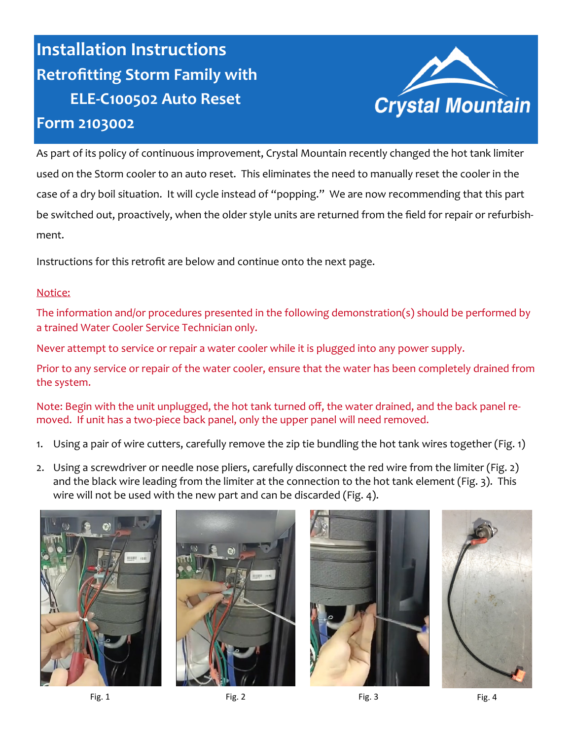## **Installation Instructions Retrofitting Storm Family with ELE-C100502 Auto Reset Form 2103002**



As part of its policy of continuous improvement, Crystal Mountain recently changed the hot tank limiter used on the Storm cooler to an auto reset. This eliminates the need to manually reset the cooler in the case of a dry boil situation. It will cycle instead of "popping." We are now recommending that this part be switched out, proactively, when the older style units are returned from the field for repair or refurbishment.

Instructions for this retrofit are below and continue onto the next page.

## Notice:

The information and/or procedures presented in the following demonstration(s) should be performed by a trained Water Cooler Service Technician only.

Never attempt to service or repair a water cooler while it is plugged into any power supply.

Prior to any service or repair of the water cooler, ensure that the water has been completely drained from the system.

Note: Begin with the unit unplugged, the hot tank turned off, the water drained, and the back panel removed. If unit has a two-piece back panel, only the upper panel will need removed.

- 1. Using a pair of wire cutters, carefully remove the zip tie bundling the hot tank wires together (Fig. 1)
- 2. Using a screwdriver or needle nose pliers, carefully disconnect the red wire from the limiter (Fig. 2) and the black wire leading from the limiter at the connection to the hot tank element (Fig. 3). This wire will not be used with the new part and can be discarded (Fig. 4).









Fig. 1 Fig. 2 Fig. 2 Fig. 3 Fig. 4 Fig. 4 Fig. 4 Fig. 4 Fig. 4 Fig. 4 Fig. 4